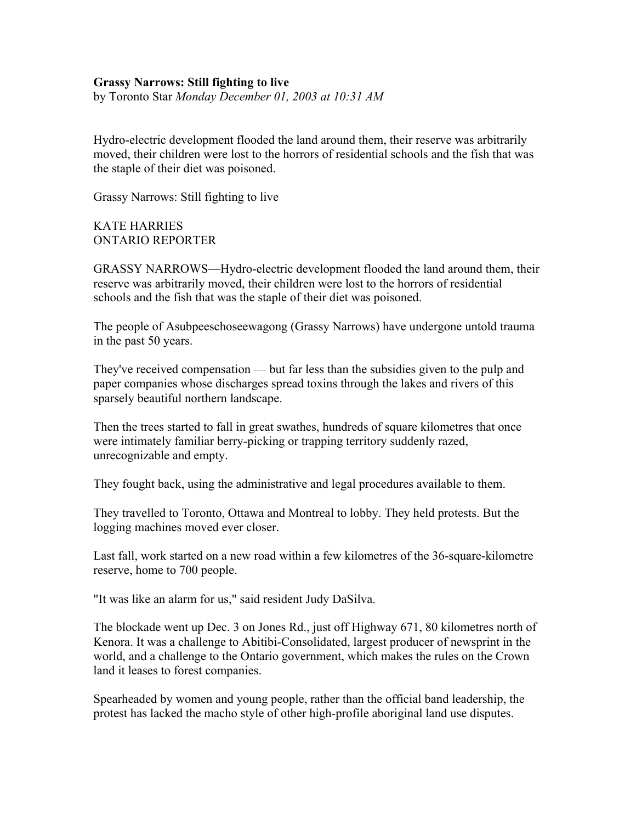## **Grassy Narrows: Still fighting to live**

by Toronto Star *Monday December 01, 2003 at 10:31 AM*

Hydro-electric development flooded the land around them, their reserve was arbitrarily moved, their children were lost to the horrors of residential schools and the fish that was the staple of their diet was poisoned.

Grassy Narrows: Still fighting to live

KATE HARRIES ONTARIO REPORTER

GRASSY NARROWS—Hydro-electric development flooded the land around them, their reserve was arbitrarily moved, their children were lost to the horrors of residential schools and the fish that was the staple of their diet was poisoned.

The people of Asubpeeschoseewagong (Grassy Narrows) have undergone untold trauma in the past 50 years.

They've received compensation — but far less than the subsidies given to the pulp and paper companies whose discharges spread toxins through the lakes and rivers of this sparsely beautiful northern landscape.

Then the trees started to fall in great swathes, hundreds of square kilometres that once were intimately familiar berry-picking or trapping territory suddenly razed, unrecognizable and empty.

They fought back, using the administrative and legal procedures available to them.

They travelled to Toronto, Ottawa and Montreal to lobby. They held protests. But the logging machines moved ever closer.

Last fall, work started on a new road within a few kilometres of the 36-square-kilometre reserve, home to 700 people.

"It was like an alarm for us," said resident Judy DaSilva.

The blockade went up Dec. 3 on Jones Rd., just off Highway 671, 80 kilometres north of Kenora. It was a challenge to Abitibi-Consolidated, largest producer of newsprint in the world, and a challenge to the Ontario government, which makes the rules on the Crown land it leases to forest companies.

Spearheaded by women and young people, rather than the official band leadership, the protest has lacked the macho style of other high-profile aboriginal land use disputes.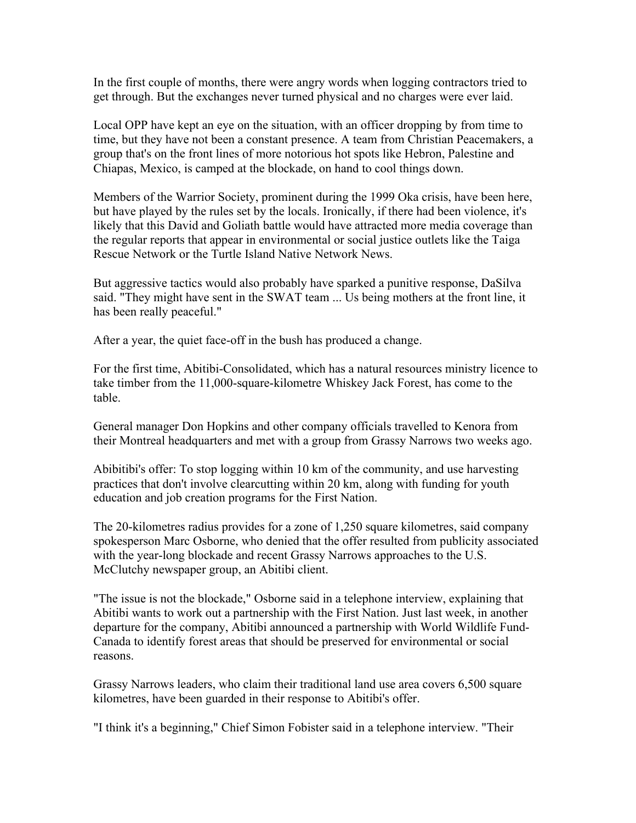In the first couple of months, there were angry words when logging contractors tried to get through. But the exchanges never turned physical and no charges were ever laid.

Local OPP have kept an eye on the situation, with an officer dropping by from time to time, but they have not been a constant presence. A team from Christian Peacemakers, a group that's on the front lines of more notorious hot spots like Hebron, Palestine and Chiapas, Mexico, is camped at the blockade, on hand to cool things down.

Members of the Warrior Society, prominent during the 1999 Oka crisis, have been here, but have played by the rules set by the locals. Ironically, if there had been violence, it's likely that this David and Goliath battle would have attracted more media coverage than the regular reports that appear in environmental or social justice outlets like the Taiga Rescue Network or the Turtle Island Native Network News.

But aggressive tactics would also probably have sparked a punitive response, DaSilva said. "They might have sent in the SWAT team ... Us being mothers at the front line, it has been really peaceful."

After a year, the quiet face-off in the bush has produced a change.

For the first time, Abitibi-Consolidated, which has a natural resources ministry licence to take timber from the 11,000-square-kilometre Whiskey Jack Forest, has come to the table.

General manager Don Hopkins and other company officials travelled to Kenora from their Montreal headquarters and met with a group from Grassy Narrows two weeks ago.

Abibitibi's offer: To stop logging within 10 km of the community, and use harvesting practices that don't involve clearcutting within 20 km, along with funding for youth education and job creation programs for the First Nation.

The 20-kilometres radius provides for a zone of 1,250 square kilometres, said company spokesperson Marc Osborne, who denied that the offer resulted from publicity associated with the year-long blockade and recent Grassy Narrows approaches to the U.S. McClutchy newspaper group, an Abitibi client.

"The issue is not the blockade," Osborne said in a telephone interview, explaining that Abitibi wants to work out a partnership with the First Nation. Just last week, in another departure for the company, Abitibi announced a partnership with World Wildlife Fund-Canada to identify forest areas that should be preserved for environmental or social reasons.

Grassy Narrows leaders, who claim their traditional land use area covers 6,500 square kilometres, have been guarded in their response to Abitibi's offer.

"I think it's a beginning," Chief Simon Fobister said in a telephone interview. "Their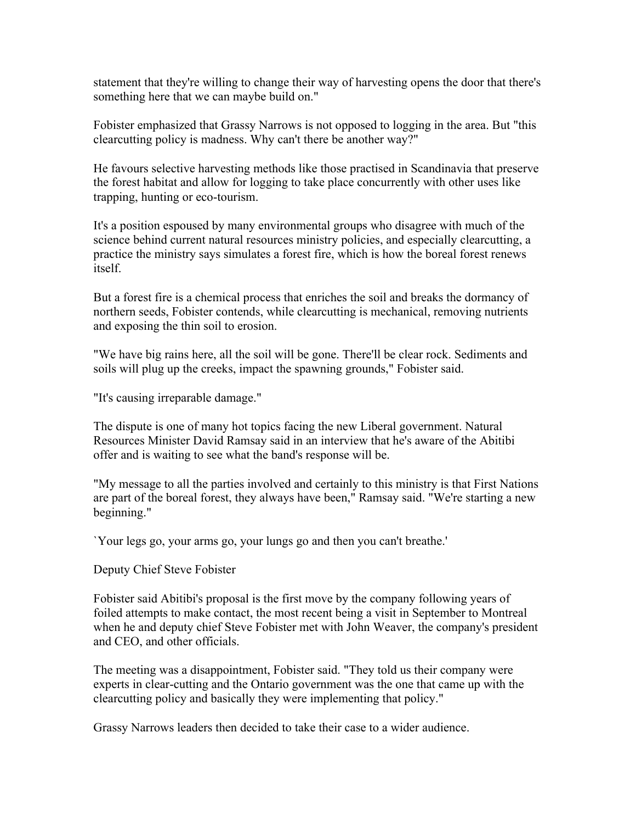statement that they're willing to change their way of harvesting opens the door that there's something here that we can maybe build on."

Fobister emphasized that Grassy Narrows is not opposed to logging in the area. But "this clearcutting policy is madness. Why can't there be another way?"

He favours selective harvesting methods like those practised in Scandinavia that preserve the forest habitat and allow for logging to take place concurrently with other uses like trapping, hunting or eco-tourism.

It's a position espoused by many environmental groups who disagree with much of the science behind current natural resources ministry policies, and especially clearcutting, a practice the ministry says simulates a forest fire, which is how the boreal forest renews itself.

But a forest fire is a chemical process that enriches the soil and breaks the dormancy of northern seeds, Fobister contends, while clearcutting is mechanical, removing nutrients and exposing the thin soil to erosion.

"We have big rains here, all the soil will be gone. There'll be clear rock. Sediments and soils will plug up the creeks, impact the spawning grounds," Fobister said.

"It's causing irreparable damage."

The dispute is one of many hot topics facing the new Liberal government. Natural Resources Minister David Ramsay said in an interview that he's aware of the Abitibi offer and is waiting to see what the band's response will be.

"My message to all the parties involved and certainly to this ministry is that First Nations are part of the boreal forest, they always have been," Ramsay said. "We're starting a new beginning."

`Your legs go, your arms go, your lungs go and then you can't breathe.'

Deputy Chief Steve Fobister

Fobister said Abitibi's proposal is the first move by the company following years of foiled attempts to make contact, the most recent being a visit in September to Montreal when he and deputy chief Steve Fobister met with John Weaver, the company's president and CEO, and other officials.

The meeting was a disappointment, Fobister said. "They told us their company were experts in clear-cutting and the Ontario government was the one that came up with the clearcutting policy and basically they were implementing that policy."

Grassy Narrows leaders then decided to take their case to a wider audience.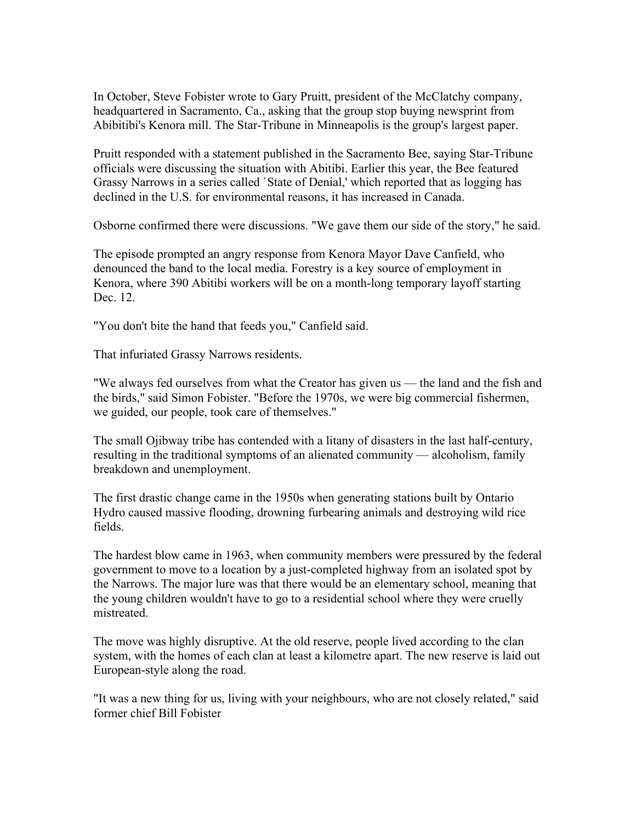In October, Steve Fobister wrote to Gary Pruitt, president of the McClatchy company, headquartered in Sacramento, Ca., asking that the group stop buying newsprint from Abibitibi's Kenora mill. The Star-Tribune in Minneapolis is the group's largest paper.

Pruitt responded with a statement published in the Sacramento Bee, saying Star-Tribune officials were discussing the situation with Abitibi. Earlier this year, the Bee featured Grassy Narrows in a series called `State of Denial,' which reported that as logging has declined in the U.S. for environmental reasons, it has increased in Canada.

Osborne confirmed there were discussions. "We gave them our side of the story," he said.

The episode prompted an angry response from Kenora Mayor Dave Canfield, who denounced the band to the local media. Forestry is a key source of employment in Kenora, where 390 Abitibi workers will be on a month-long temporary layoff starting Dec. 12.

"You don't bite the hand that feeds you," Canfield said.

That infuriated Grassy Narrows residents.

"We always fed ourselves from what the Creator has given us — the land and the fish and the birds," said Simon Fobister. "Before the 1970s, we were big commercial fishermen, we guided, our people, took care of themselves."

The small Ojibway tribe has contended with a litany of disasters in the last half-century, resulting in the traditional symptoms of an alienated community — alcoholism, family breakdown and unemployment.

The first drastic change came in the 1950s when generating stations built by Ontario Hydro caused massive flooding, drowning furbearing animals and destroying wild rice fields.

The hardest blow came in 1963, when community members were pressured by the federal government to move to a location by a just-completed highway from an isolated spot by the Narrows. The major lure was that there would be an elementary school, meaning that the young children wouldn't have to go to a residential school where they were cruelly mistreated.

The move was highly disruptive. At the old reserve, people lived according to the clan system, with the homes of each clan at least a kilometre apart. The new reserve is laid out European-style along the road.

"It was a new thing for us, living with your neighbours, who are not closely related," said former chief Bill Fobister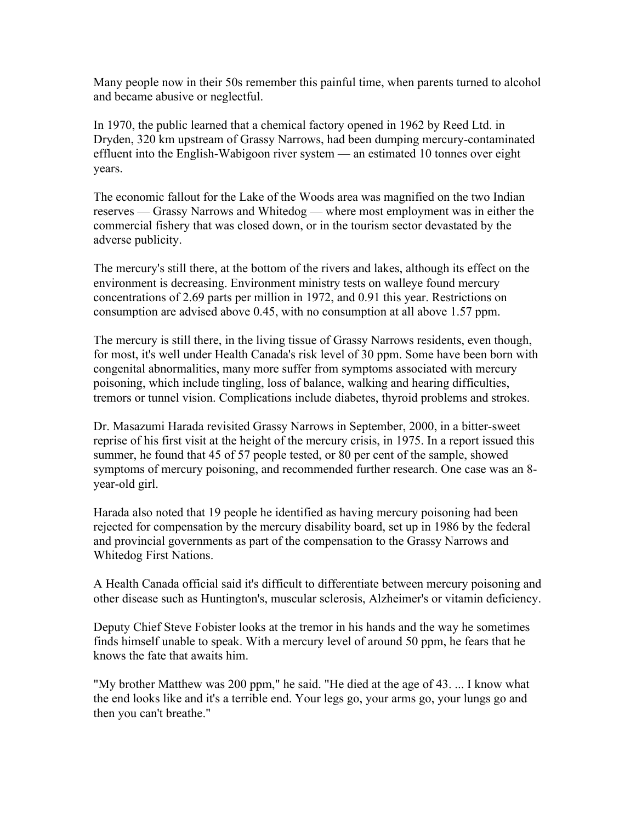Many people now in their 50s remember this painful time, when parents turned to alcohol and became abusive or neglectful.

In 1970, the public learned that a chemical factory opened in 1962 by Reed Ltd. in Dryden, 320 km upstream of Grassy Narrows, had been dumping mercury-contaminated effluent into the English-Wabigoon river system — an estimated 10 tonnes over eight years.

The economic fallout for the Lake of the Woods area was magnified on the two Indian reserves — Grassy Narrows and Whitedog — where most employment was in either the commercial fishery that was closed down, or in the tourism sector devastated by the adverse publicity.

The mercury's still there, at the bottom of the rivers and lakes, although its effect on the environment is decreasing. Environment ministry tests on walleye found mercury concentrations of 2.69 parts per million in 1972, and 0.91 this year. Restrictions on consumption are advised above 0.45, with no consumption at all above 1.57 ppm.

The mercury is still there, in the living tissue of Grassy Narrows residents, even though, for most, it's well under Health Canada's risk level of 30 ppm. Some have been born with congenital abnormalities, many more suffer from symptoms associated with mercury poisoning, which include tingling, loss of balance, walking and hearing difficulties, tremors or tunnel vision. Complications include diabetes, thyroid problems and strokes.

Dr. Masazumi Harada revisited Grassy Narrows in September, 2000, in a bitter-sweet reprise of his first visit at the height of the mercury crisis, in 1975. In a report issued this summer, he found that 45 of 57 people tested, or 80 per cent of the sample, showed symptoms of mercury poisoning, and recommended further research. One case was an 8 year-old girl.

Harada also noted that 19 people he identified as having mercury poisoning had been rejected for compensation by the mercury disability board, set up in 1986 by the federal and provincial governments as part of the compensation to the Grassy Narrows and Whitedog First Nations.

A Health Canada official said it's difficult to differentiate between mercury poisoning and other disease such as Huntington's, muscular sclerosis, Alzheimer's or vitamin deficiency.

Deputy Chief Steve Fobister looks at the tremor in his hands and the way he sometimes finds himself unable to speak. With a mercury level of around 50 ppm, he fears that he knows the fate that awaits him.

"My brother Matthew was 200 ppm," he said. "He died at the age of 43. ... I know what the end looks like and it's a terrible end. Your legs go, your arms go, your lungs go and then you can't breathe."